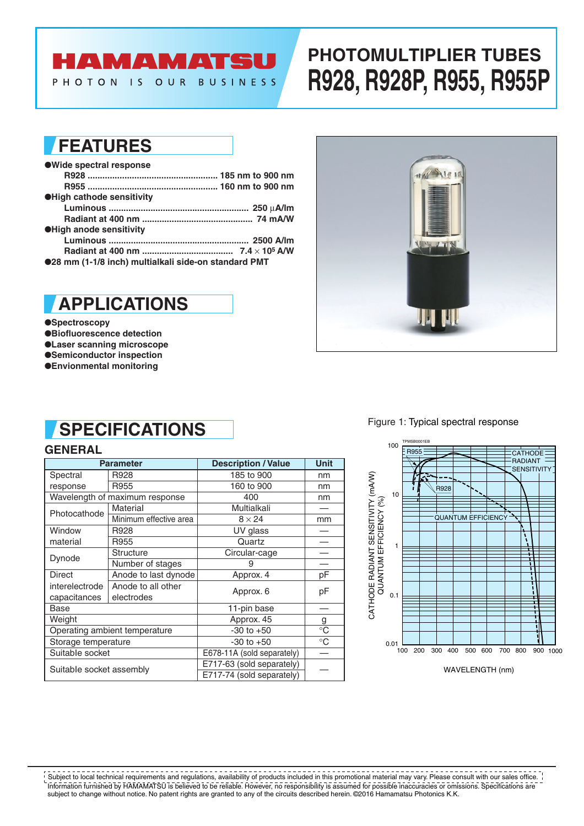## **AMAMATSU**

PHOTON IS OUR BUSINESS

# **PHOTOMULTIPLIER TUBES R928, R928P, R955, R955P**

## **FEATURES**

| ● Wide spectral response                             |  |
|------------------------------------------------------|--|
|                                                      |  |
|                                                      |  |
| <b>OHigh cathode sensitivity</b>                     |  |
|                                                      |  |
|                                                      |  |
| <b>OHigh anode sensitivity</b>                       |  |
|                                                      |  |
|                                                      |  |
| ●28 mm (1-1/8 inch) multialkali side-on standard PMT |  |



#### ●**Spectroscopy**

- ●**Biofluorescence detection**
- ●**Laser scanning microscope**
- ●**Semiconductor inspection**
- ●**Envionmental monitoring**



#### Figure 1: Typical spectral response

## **SPECIFICATIONS**

#### **GENERAL**

|                          | <b>Parameter</b>               | <b>Description / Value</b> | <b>Unit</b>     |
|--------------------------|--------------------------------|----------------------------|-----------------|
| Spectral                 | R928                           | 185 to 900                 | nm              |
| response                 | R955                           | 160 to 900                 | nm              |
|                          | Wavelength of maximum response | 400                        | nm              |
| Photocathode             | Material                       | Multialkali                |                 |
|                          | Minimum effective area         | $8 \times 24$              | mm              |
| Window                   | R928                           | UV glass                   |                 |
| material                 | R955                           | Quartz                     |                 |
| Dynode                   | <b>Structure</b>               | Circular-cage              |                 |
|                          | Number of stages               | 9                          |                 |
| Direct                   | Anode to last dynode           | Approx. 4                  | рF              |
| interelectrode           | Anode to all other             | Approx. 6                  | рF              |
| capacitances             | electrodes                     |                            |                 |
| Base                     |                                | 11-pin base                |                 |
| Weight                   |                                | Approx. 45                 | g               |
|                          | Operating ambient temperature  | $-30$ to $+50$             | $\rm ^{\circ}C$ |
| Storage temperature      |                                | $-30$ to $+50$             | $^{\circ}C$     |
| Suitable socket          |                                | E678-11A (sold separately) |                 |
|                          |                                | E717-63 (sold separately)  |                 |
| Suitable socket assembly |                                | E717-74 (sold separately)  |                 |



WAVELENGTH (nm)

Information furnished by HAMAMATSU is believed to be reliable. However, no responsibility is assumed for possible inaccuracies or omissions. Specifications are subject to change without notice. No patent rights are granted to any of the circuits described herein. ©2016 Hamamatsu Photonics K.K. Subject to local technical requirements and regulations, availability of products included in this promotional material may vary. Please consult with our sales office.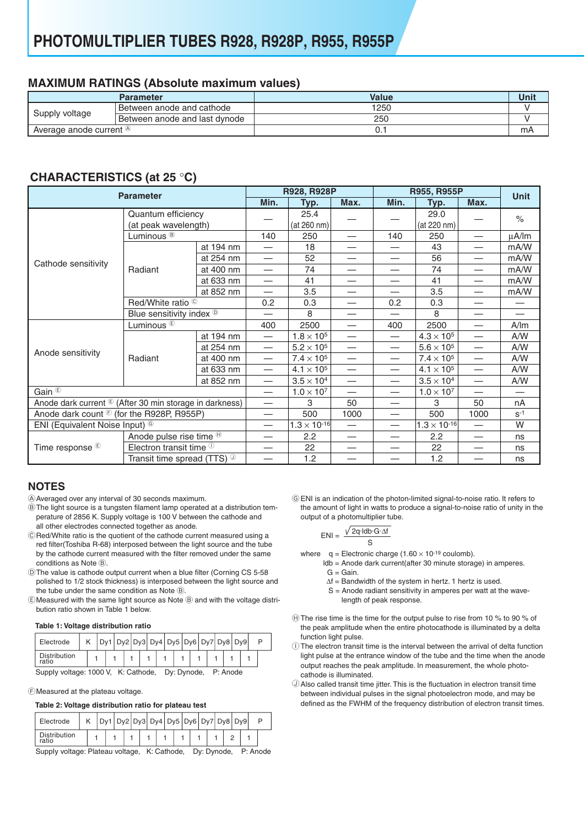#### **MAXIMUM RATINGS (Absolute maximum values)**

|                           | Parameter                        | Value | Unit |
|---------------------------|----------------------------------|-------|------|
| Supply voltage            | <b>Between anode and cathode</b> | 1250  |      |
|                           | Between anode and last dynode    | 250   |      |
| Average anode current (A) |                                  | U.    | mA   |

### **CHARACTERISTlCS (at 25** °**C)**

| <b>Parameter</b>                                                   |                                            |                       |                          | R928, R928P         |                          | R955, R955P                   | <b>Unit</b>         |                          |       |
|--------------------------------------------------------------------|--------------------------------------------|-----------------------|--------------------------|---------------------|--------------------------|-------------------------------|---------------------|--------------------------|-------|
|                                                                    |                                            |                       | Min.                     | Typ.                | Max.                     | Min.                          | Typ.                | Max.                     |       |
|                                                                    | Quantum efficiency<br>(at peak wavelength) |                       |                          | 25.4<br>(at 260 nm) |                          |                               | 29.0<br>(at 220 nm) |                          | $\%$  |
| Cathode sensitivity                                                | Luminous <sup>®</sup>                      |                       | 140                      | 250                 |                          | 140                           | 250                 |                          | µA/lm |
|                                                                    |                                            | at 194 nm             |                          | 18                  | —                        | $\overline{\phantom{0}}$      | 43                  |                          | mA/W  |
|                                                                    |                                            | at 254 nm             |                          | 52                  | $\overline{\phantom{0}}$ |                               | 56                  |                          | mA/W  |
|                                                                    | Radiant                                    | at 400 nm             | $\overline{\phantom{0}}$ | 74                  |                          | $\overbrace{\phantom{12333}}$ | 74                  |                          | mA/W  |
|                                                                    |                                            | at 633 nm             |                          | 41                  | $\overline{\phantom{0}}$ |                               | 41                  |                          | mA/W  |
|                                                                    |                                            | at 852 nm             |                          | 3.5                 |                          |                               | 3.5                 |                          | mA/W  |
|                                                                    | Red/White ratio ©                          |                       | 0.2                      | 0.3                 | $\overline{\phantom{0}}$ | 0.2                           | 0.3                 |                          |       |
|                                                                    | Blue sensitivity index ®                   |                       |                          | 8                   | —                        |                               | 8                   |                          |       |
|                                                                    | Luminous <sup>®</sup>                      |                       | 400                      | 2500                | $\overline{\phantom{0}}$ | 400                           | 2500                |                          | A/m   |
|                                                                    |                                            | at 194 nm             |                          | $1.8 \times 10^{5}$ |                          | $\overline{\phantom{m}}$      | $4.3 \times 10^{5}$ |                          | A/W   |
|                                                                    |                                            | at 254 nm             | $\overline{\phantom{0}}$ | $5.2 \times 10^5$   | $\overline{\phantom{0}}$ | $\overline{\phantom{0}}$      | $5.6 \times 10^{5}$ |                          | A/W   |
| Anode sensitivity                                                  | Radiant                                    | at 400 nm             | $\overline{\phantom{0}}$ | $7.4 \times 10^{5}$ |                          |                               | $7.4 \times 10^{5}$ | —                        | A/W   |
|                                                                    |                                            | at 633 nm             |                          | $4.1 \times 10^{5}$ | —                        |                               | $4.1 \times 10^{5}$ |                          | A/W   |
|                                                                    |                                            | at 852 nm             |                          | $3.5 \times 10^{4}$ | $\overline{\phantom{0}}$ | $\overline{\phantom{0}}$      | $3.5 \times 10^{4}$ | $\overline{\phantom{0}}$ | A/W   |
| Gain $\overline{E}$                                                |                                            |                       |                          | $1.0 \times 10^{7}$ |                          | $\overbrace{\phantom{13333}}$ | $1.0 \times 10^{7}$ |                          |       |
| Anode dark current <sup>®</sup> (After 30 min storage in darkness) |                                            |                       |                          | 3                   | 50                       | $\overline{\phantom{0}}$      | 3                   | 50                       | nA    |
| Anode dark count $\mathcal{L}$ (for the R928P, R955P)              |                                            |                       |                          | 500                 | 1000                     | $\overline{\phantom{0}}$      | 500                 | 1000                     | $S-1$ |
| ENI (Equivalent Noise Input) <sup>©</sup>                          |                                            | $1.3 \times 10^{-16}$ |                          |                     | $1.3 \times 10^{-16}$    |                               | W                   |                          |       |
| Time response <sup>®</sup>                                         | Anode pulse rise time $\Theta$             |                       |                          | 2.2                 | $\overline{\phantom{0}}$ | $\overline{\phantom{0}}$      | 2.2                 | —                        | ns    |
|                                                                    | Electron transit time $\mathbb O$          |                       |                          | 22                  |                          |                               | 22                  |                          | ns    |
|                                                                    | Transit time spread (TTS) $\mathbb{O}$     |                       |                          | 1.2                 |                          |                               | 1.2                 |                          | ns    |

#### **NOTES**

- A Averaged over any interval of 30 seconds maximum.
- B The light source is a tungsten filament lamp operated at a distribution temperature of 2856 K. Supply voltage is 100 V between the cathode and all other electrodes connected together as anode.
- C Red/White ratio is the quotient of the cathode current measured using a red filter(Toshiba R-68) interposed between the light source and the tube by the cathode current measured with the filter removed under the same conditions as Note  $\circledR$ .
- D The value is cathode output current when a blue filter (Corning CS 5-58 polished to 1/2 stock thickness) is interposed between the light source and the tube under the same condition as Note  $\circledB$ .
- E Measured with the same light source as Note B and with the voltage distribution ratio shown in Table 1 below.

#### **Table 1: Voltage distribution ratio**

| Electrode                                                                       |  |  |  |  | Dy1 Dy2 Dy3 Dy4 Dy5 Dy6 Dy7 Dy8 Dy9 |  |  |  |  |  |  |  |  |  |  |  |  |  |
|---------------------------------------------------------------------------------|--|--|--|--|-------------------------------------|--|--|--|--|--|--|--|--|--|--|--|--|--|
| Distribution<br>ratio                                                           |  |  |  |  |                                     |  |  |  |  |  |  |  |  |  |  |  |  |  |
| n. n. <b>.</b> .<br>$\mathbf{D}$ . A $\mathbf{A}$ . $\mathbf{A}$ . $\mathbf{A}$ |  |  |  |  |                                     |  |  |  |  |  |  |  |  |  |  |  |  |  |

SuppIy voltage: 1000 V, K: Cathode, Dy: Dynode, P: Anode

FMeasured at the plateau voltage.

#### **Table 2: Voltage distribution ratio for plateau test**

|                                                                      | Electrode                    |  |  |  |  |  |  |  |  |  |  |  | Dy1   Dy2   Dy3   Dy4   Dy5   Dy6   Dy7   Dy8   Dy9 |  |  |  |
|----------------------------------------------------------------------|------------------------------|--|--|--|--|--|--|--|--|--|--|--|-----------------------------------------------------|--|--|--|
|                                                                      | <b>Distribution</b><br>ratio |  |  |  |  |  |  |  |  |  |  |  |                                                     |  |  |  |
| Supply voltage: Plateau voltage, K: Cathode, Dy: Dynode,<br>P: Anode |                              |  |  |  |  |  |  |  |  |  |  |  |                                                     |  |  |  |

G ENI is an indication of the photon-limited signal-to-noise ratio. It refers to the amount of light in watts to produce a signal-to-noise ratio of unity in the output of a photomultiplier tube.

$$
ENI = \frac{\sqrt{2q \cdot \text{Idb} \cdot G \cdot \Delta f}}{S}
$$

where  $q =$  Electronic charge  $(1.60 \times 10^{-19}$  coulomb).

- ldb = Anode dark current(after 30 minute storage) in amperes.  $G =$ Gain
	- ∆f = Bandwidth of the system in hertz. 1 hertz is used.
	- $S =$  Anode radiant sensitivity in amperes per watt at the wavelength of peak response.
- $\oplus$  The rise time is the time for the output pulse to rise from 10 % to 90 % of the peak amplitude when the entire photocathode is illuminated by a delta function light pulse.
- $\mathbb O$  The electron transit time is the interval between the arrival of delta function light pulse at the entrance window of the tube and the time when the anode output reaches the peak amplitude. In measurement, the whole photocathode is illuminated.
- $\mathbb O$  Also called transit time jitter. This is the fluctuation in electron transit time between individual pulses in the signal photoelectron mode, and may be defined as the FWHM of the frequency distribution of electron transit times.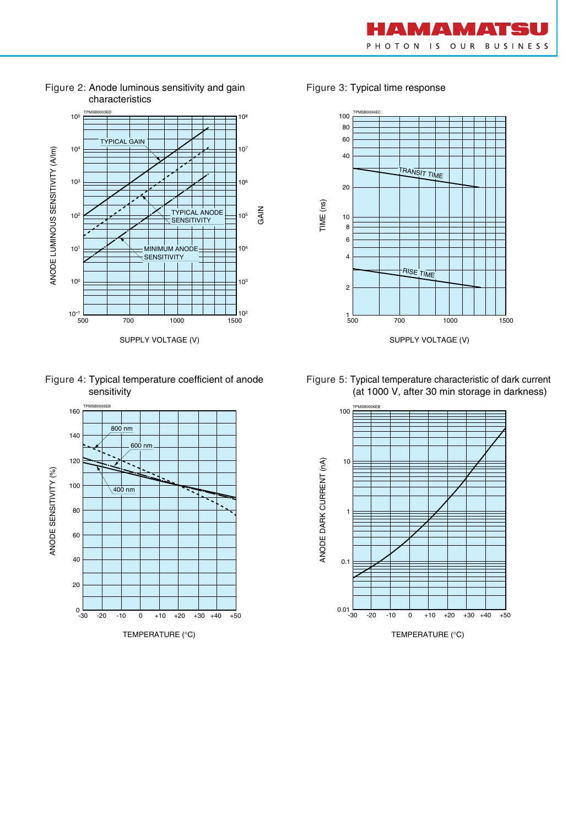



Figure 2: Anode luminous sensitivity and gain characteristics

Figure 4: Typical temperature coefficient of anode sensitivity



Figure 3: Typical time response



Figure 5: Typical temperature characteristic of dark current (at 1000 V, after 30 min storage in darkness)



TEMPERATURE (°C)